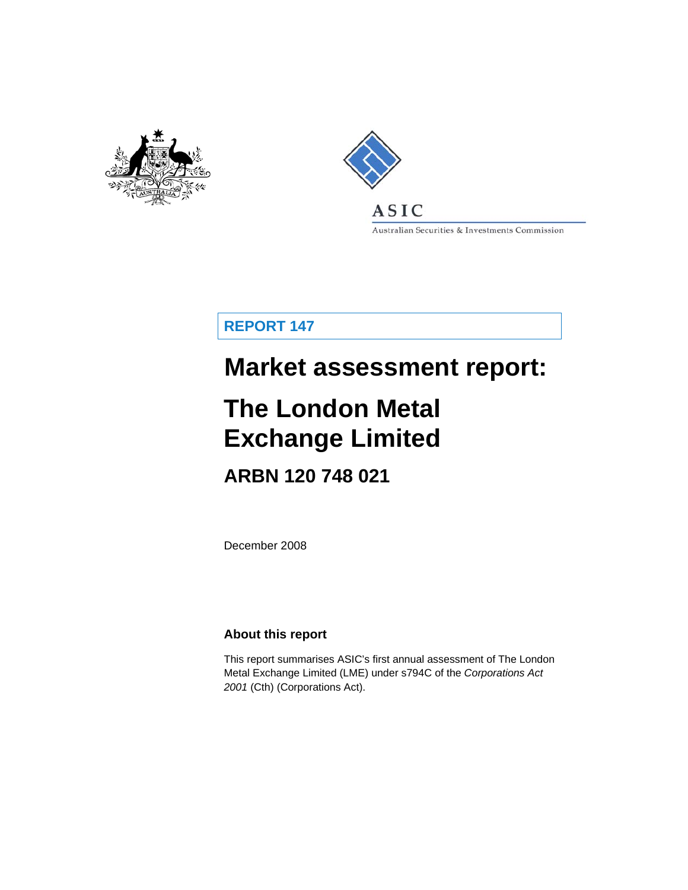



**ASIC** Australian Securities & Investments Commission

**REPORT 147** 

# **Market assessment report:**

# **The London Metal Exchange Limited**

# **ARBN 120 748 021**

December 2008

## **About this report**

This report summarises ASIC's first annual assessment of The London Metal Exchange Limited (LME) under s794C of the *Corporations Act 2001* (Cth) (Corporations Act).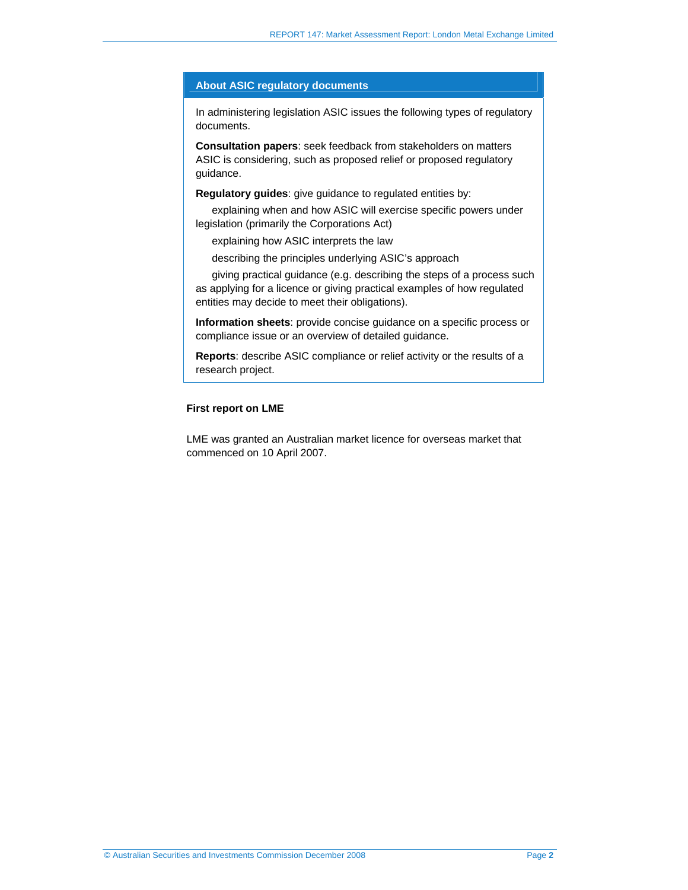#### **About ASIC regulatory documents**

In administering legislation ASIC issues the following types of regulatory documents.

**Consultation papers**: seek feedback from stakeholders on matters ASIC is considering, such as proposed relief or proposed regulatory guidance.

**Regulatory guides**: give guidance to regulated entities by:

explaining when and how ASIC will exercise specific powers under legislation (primarily the Corporations Act)

explaining how ASIC interprets the law

describing the principles underlying ASIC's approach

giving practical guidance (e.g. describing the steps of a process such as applying for a licence or giving practical examples of how regulated entities may decide to meet their obligations).

**Information sheets**: provide concise guidance on a specific process or compliance issue or an overview of detailed guidance.

**Reports**: describe ASIC compliance or relief activity or the results of a research project.

#### **First report on LME**

LME was granted an Australian market licence for overseas market that commenced on 10 April 2007.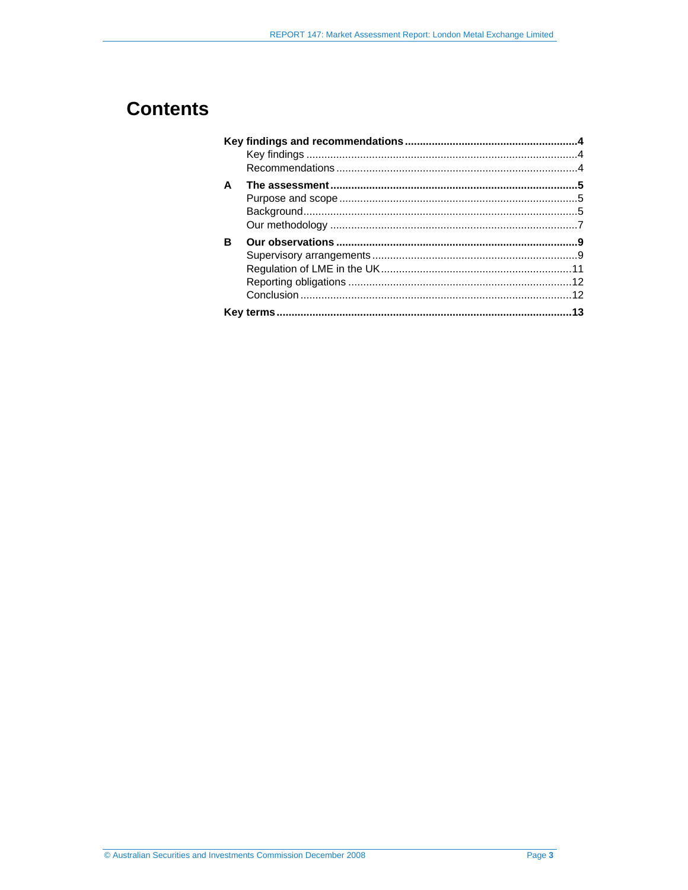# **Contents**

| A |  |
|---|--|
|   |  |
|   |  |
|   |  |
| R |  |
|   |  |
|   |  |
|   |  |
|   |  |
|   |  |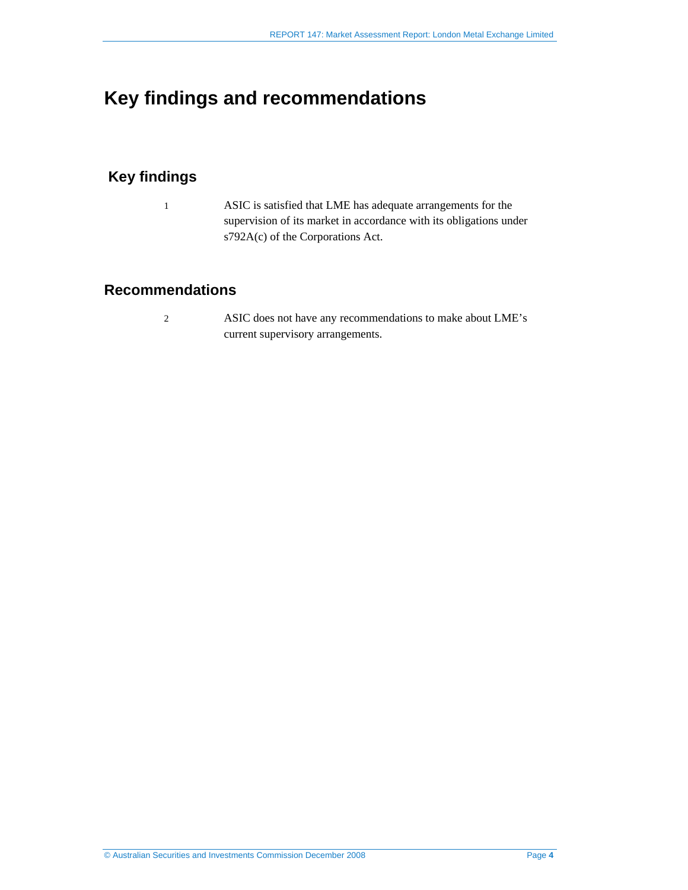# **Key findings and recommendations**

# **Key findings**

1 ASIC is satisfied that LME has adequate arrangements for the supervision of its market in accordance with its obligations under s792A(c) of the Corporations Act.

## **Recommendations**

2 ASIC does not have any recommendations to make about LME's current supervisory arrangements.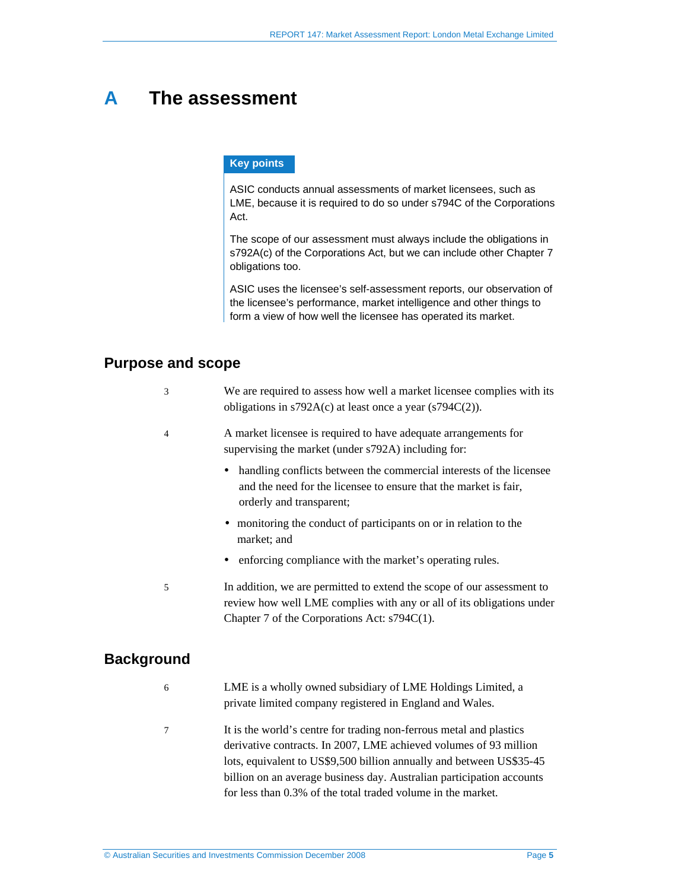# **A The assessment**

#### **Key points**

ASIC conducts annual assessments of market licensees, such as LME, because it is required to do so under s794C of the Corporations Act.

The scope of our assessment must always include the obligations in s792A(c) of the Corporations Act, but we can include other Chapter 7 obligations too.

ASIC uses the licensee's self-assessment reports, our observation of the licensee's performance, market intelligence and other things to form a view of how well the licensee has operated its market.

#### **Purpose and scope**

| We are required to assess how well a market licensee complies with its |
|------------------------------------------------------------------------|
| obligations in $s792A(c)$ at least once a year $(s794C(2))$ .          |

#### 4 A market licensee is required to have adequate arrangements for supervising the market (under s792A) including for:

- handling conflicts between the commercial interests of the licensee and the need for the licensee to ensure that the market is fair, orderly and transparent;
- monitoring the conduct of participants on or in relation to the market; and
- enforcing compliance with the market's operating rules.
- 5 In addition, we are permitted to extend the scope of our assessment to review how well LME complies with any or all of its obligations under Chapter 7 of the Corporations Act: s794C(1).

### **Background**

- 6 LME is a wholly owned subsidiary of LME Holdings Limited, a private limited company registered in England and Wales.
- 7 It is the world's centre for trading non-ferrous metal and plastics derivative contracts. In 2007, LME achieved volumes of 93 million lots, equivalent to US\$9,500 billion annually and between US\$35-45 billion on an average business day. Australian participation accounts for less than 0.3% of the total traded volume in the market.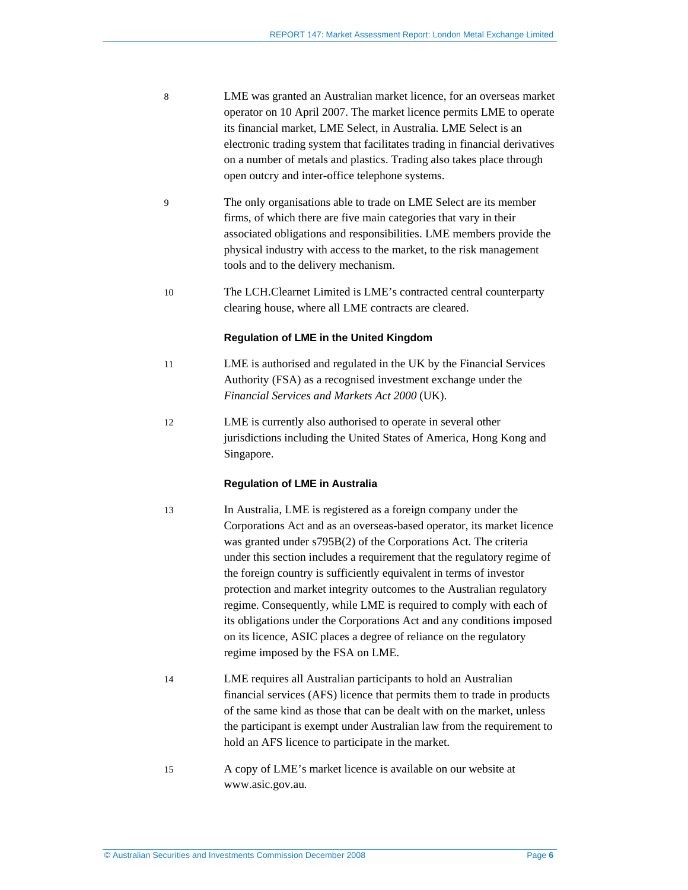- 8 LME was granted an Australian market licence, for an overseas market operator on 10 April 2007. The market licence permits LME to operate its financial market, LME Select, in Australia. LME Select is an electronic trading system that facilitates trading in financial derivatives on a number of metals and plastics. Trading also takes place through open outcry and inter-office telephone systems.
- 9 The only organisations able to trade on LME Select are its member firms, of which there are five main categories that vary in their associated obligations and responsibilities. LME members provide the physical industry with access to the market, to the risk management tools and to the delivery mechanism.
- 10 The LCH.Clearnet Limited is LME's contracted central counterparty clearing house, where all LME contracts are cleared.

#### **Regulation of LME in the United Kingdom**

- 11 LME is authorised and regulated in the UK by the Financial Services Authority (FSA) as a recognised investment exchange under the *Financial Services and Markets Act 2000* (UK).
- 12 LME is currently also authorised to operate in several other jurisdictions including the United States of America, Hong Kong and Singapore.

#### **Regulation of LME in Australia**

- 13 In Australia, LME is registered as a foreign company under the Corporations Act and as an overseas-based operator, its market licence was granted under s795B(2) of the Corporations Act. The criteria under this section includes a requirement that the regulatory regime of the foreign country is sufficiently equivalent in terms of investor protection and market integrity outcomes to the Australian regulatory regime. Consequently, while LME is required to comply with each of its obligations under the Corporations Act and any conditions imposed on its licence, ASIC places a degree of reliance on the regulatory regime imposed by the FSA on LME.
- 14 LME requires all Australian participants to hold an Australian financial services (AFS) licence that permits them to trade in products of the same kind as those that can be dealt with on the market, unless the participant is exempt under Australian law from the requirement to hold an AFS licence to participate in the market.
- 15 A copy of LME's market licence is available on our website at www.asic.gov.au*.*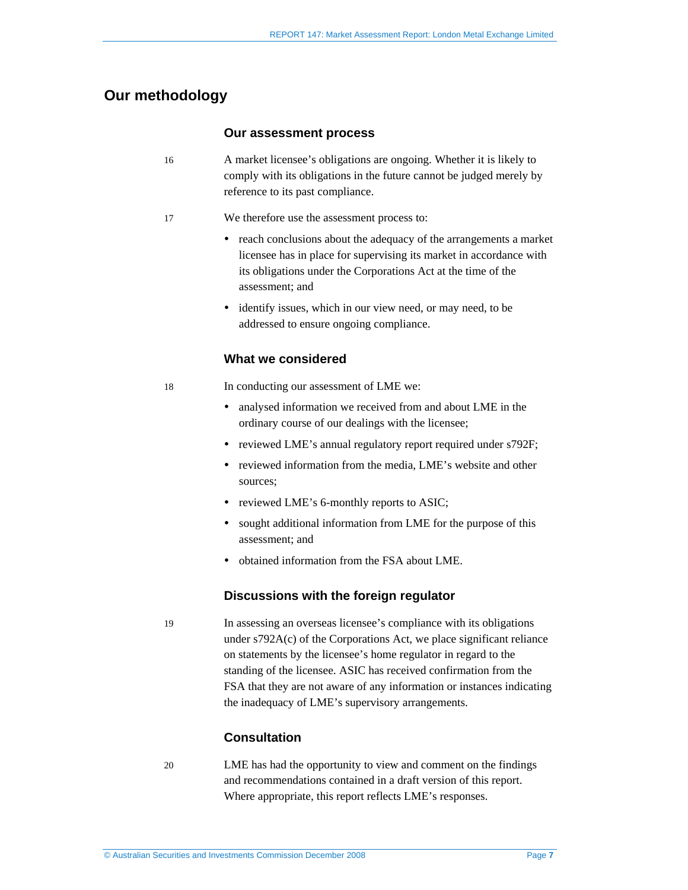### **Our methodology**

#### **Our assessment process**

- 16 A market licensee's obligations are ongoing. Whether it is likely to comply with its obligations in the future cannot be judged merely by reference to its past compliance.
- 17 We therefore use the assessment process to:
	- reach conclusions about the adequacy of the arrangements a market licensee has in place for supervising its market in accordance with its obligations under the Corporations Act at the time of the assessment; and
	- identify issues, which in our view need, or may need, to be addressed to ensure ongoing compliance.

#### **What we considered**

18 In conducting our assessment of LME we:

- analysed information we received from and about LME in the ordinary course of our dealings with the licensee;
- reviewed LME's annual regulatory report required under s792F;
- reviewed information from the media, LME's website and other sources;
- reviewed LME's 6-monthly reports to ASIC;
- sought additional information from LME for the purpose of this assessment; and
- obtained information from the FSA about LME.

#### **Discussions with the foreign regulator**

19 In assessing an overseas licensee's compliance with its obligations under s792A(c) of the Corporations Act, we place significant reliance on statements by the licensee's home regulator in regard to the standing of the licensee. ASIC has received confirmation from the FSA that they are not aware of any information or instances indicating the inadequacy of LME's supervisory arrangements.

#### **Consultation**

20 LME has had the opportunity to view and comment on the findings and recommendations contained in a draft version of this report. Where appropriate, this report reflects LME's responses.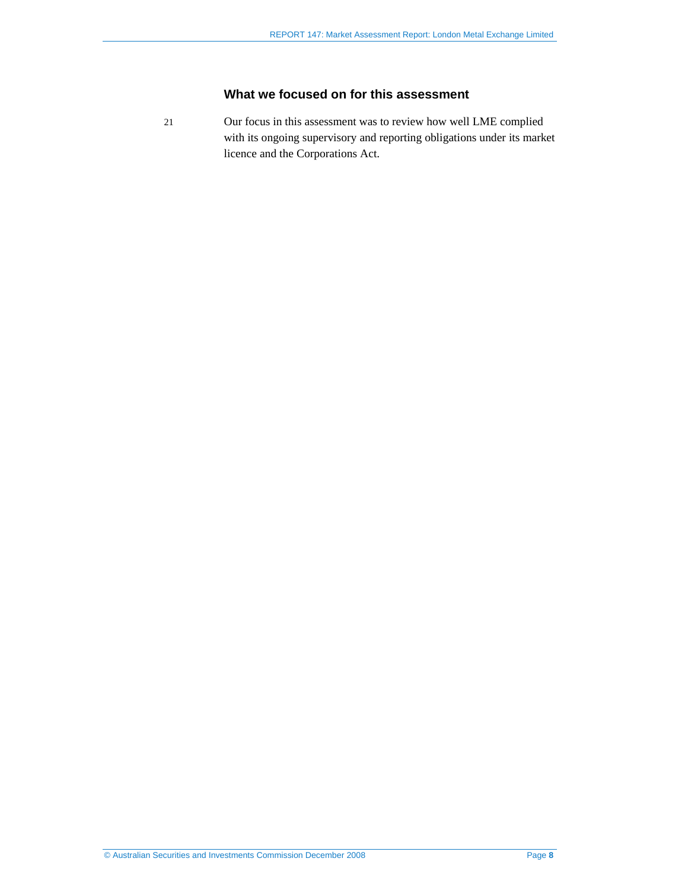### **What we focused on for this assessment**

21 Our focus in this assessment was to review how well LME complied with its ongoing supervisory and reporting obligations under its market licence and the Corporations Act.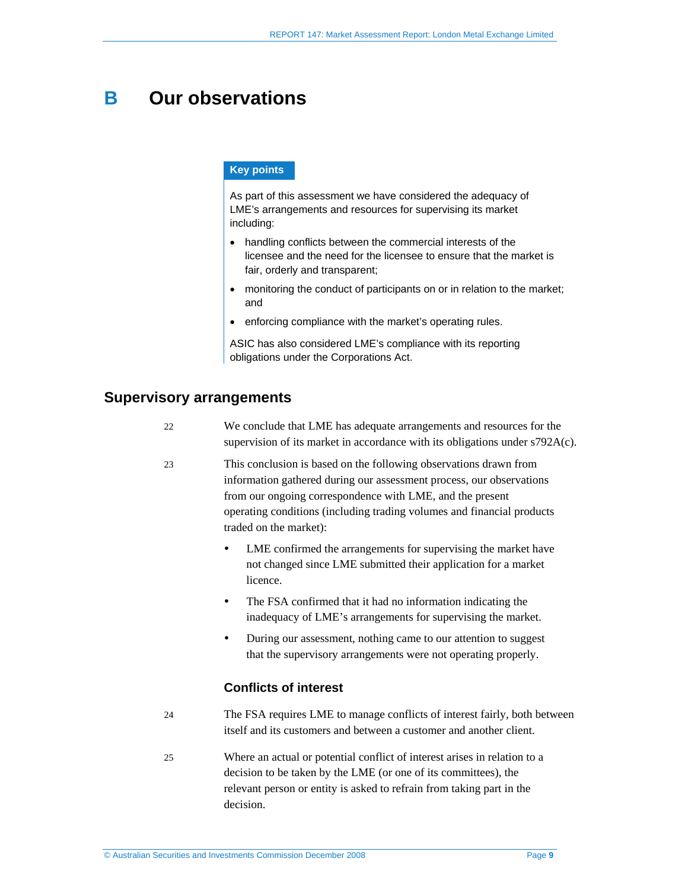# **B Our observations**

#### **Key points**

As part of this assessment we have considered the adequacy of LME's arrangements and resources for supervising its market including:

- handling conflicts between the commercial interests of the licensee and the need for the licensee to ensure that the market is fair, orderly and transparent;
- monitoring the conduct of participants on or in relation to the market; and
- enforcing compliance with the market's operating rules.

ASIC has also considered LME's compliance with its reporting obligations under the Corporations Act.

#### **Supervisory arrangements**

| 22 | We conclude that LME has adequate arrangements and resources for the            |
|----|---------------------------------------------------------------------------------|
|    | supervision of its market in accordance with its obligations under $s792A(c)$ . |

23 This conclusion is based on the following observations drawn from information gathered during our assessment process, our observations from our ongoing correspondence with LME, and the present operating conditions (including trading volumes and financial products traded on the market):

- LME confirmed the arrangements for supervising the market have not changed since LME submitted their application for a market licence.
- The FSA confirmed that it had no information indicating the inadequacy of LME's arrangements for supervising the market.
- During our assessment, nothing came to our attention to suggest that the supervisory arrangements were not operating properly.

#### **Conflicts of interest**

- 24 The FSA requires LME to manage conflicts of interest fairly, both between itself and its customers and between a customer and another client.
- 25 Where an actual or potential conflict of interest arises in relation to a decision to be taken by the LME (or one of its committees), the relevant person or entity is asked to refrain from taking part in the decision.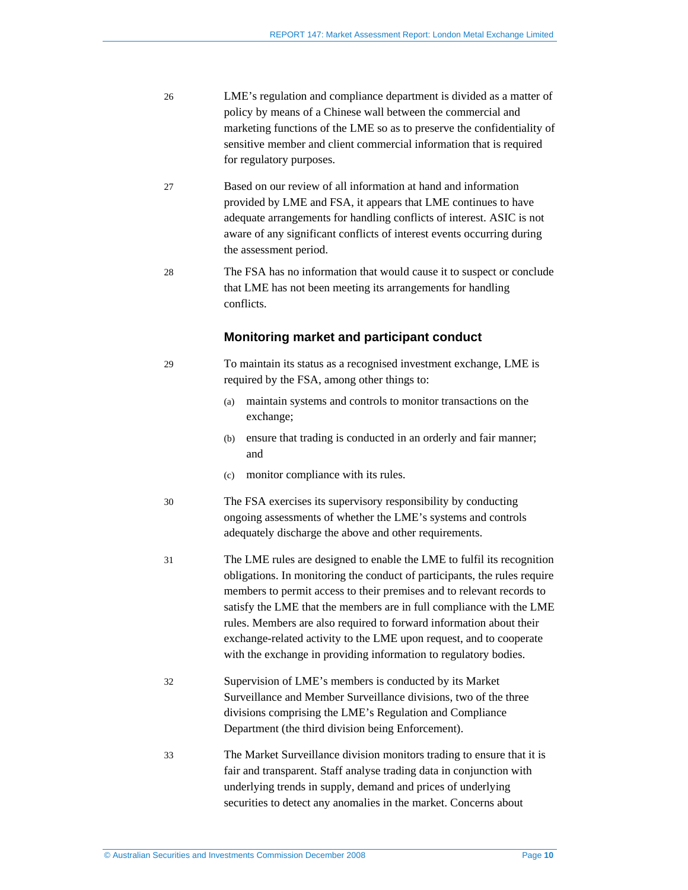| 26 | LME's regulation and compliance department is divided as a matter of<br>policy by means of a Chinese wall between the commercial and<br>marketing functions of the LME so as to preserve the confidentiality of<br>sensitive member and client commercial information that is required<br>for regulatory purposes.                                                                                                                                                                                                     |  |
|----|------------------------------------------------------------------------------------------------------------------------------------------------------------------------------------------------------------------------------------------------------------------------------------------------------------------------------------------------------------------------------------------------------------------------------------------------------------------------------------------------------------------------|--|
| 27 | Based on our review of all information at hand and information<br>provided by LME and FSA, it appears that LME continues to have<br>adequate arrangements for handling conflicts of interest. ASIC is not<br>aware of any significant conflicts of interest events occurring during<br>the assessment period.                                                                                                                                                                                                          |  |
| 28 | The FSA has no information that would cause it to suspect or conclude<br>that LME has not been meeting its arrangements for handling<br>conflicts.                                                                                                                                                                                                                                                                                                                                                                     |  |
|    | Monitoring market and participant conduct                                                                                                                                                                                                                                                                                                                                                                                                                                                                              |  |
| 29 | To maintain its status as a recognised investment exchange, LME is<br>required by the FSA, among other things to:                                                                                                                                                                                                                                                                                                                                                                                                      |  |
|    | maintain systems and controls to monitor transactions on the<br>(a)<br>exchange;                                                                                                                                                                                                                                                                                                                                                                                                                                       |  |
|    | ensure that trading is conducted in an orderly and fair manner;<br>(b)<br>and                                                                                                                                                                                                                                                                                                                                                                                                                                          |  |
|    | monitor compliance with its rules.<br>(c)                                                                                                                                                                                                                                                                                                                                                                                                                                                                              |  |
| 30 | The FSA exercises its supervisory responsibility by conducting<br>ongoing assessments of whether the LME's systems and controls<br>adequately discharge the above and other requirements.                                                                                                                                                                                                                                                                                                                              |  |
| 31 | The LME rules are designed to enable the LME to fulfil its recognition<br>obligations. In monitoring the conduct of participants, the rules require<br>members to permit access to their premises and to relevant records to<br>satisfy the LME that the members are in full compliance with the LME<br>rules. Members are also required to forward information about their<br>exchange-related activity to the LME upon request, and to cooperate<br>with the exchange in providing information to regulatory bodies. |  |
| 32 | Supervision of LME's members is conducted by its Market<br>Surveillance and Member Surveillance divisions, two of the three<br>divisions comprising the LME's Regulation and Compliance<br>Department (the third division being Enforcement).                                                                                                                                                                                                                                                                          |  |
| 33 | The Market Surveillance division monitors trading to ensure that it is<br>fair and transparent. Staff analyse trading data in conjunction with<br>underlying trends in supply, demand and prices of underlying<br>securities to detect any anomalies in the market. Concerns about                                                                                                                                                                                                                                     |  |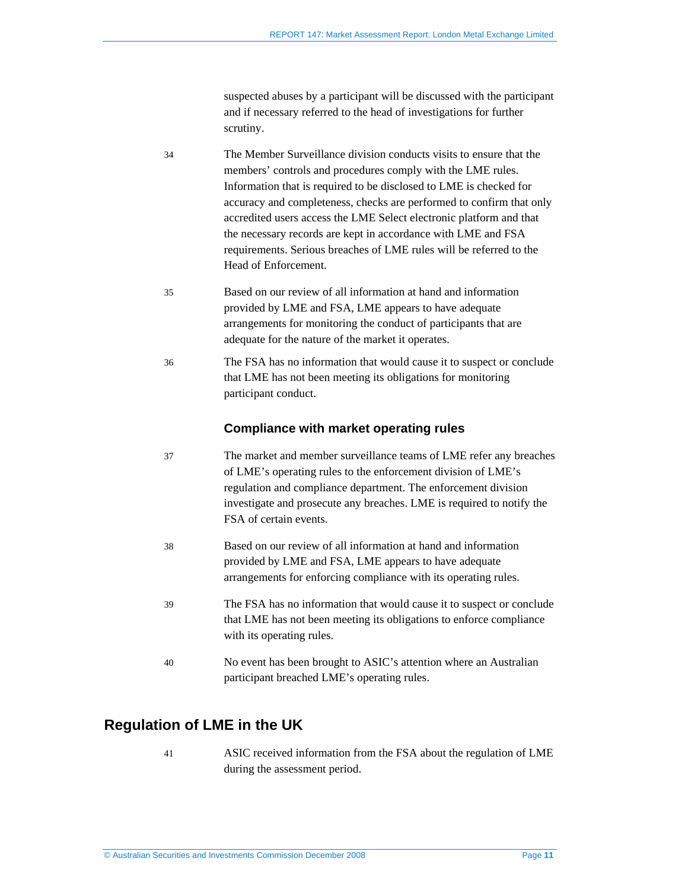suspected abuses by a participant will be discussed with the participant and if necessary referred to the head of investigations for further scrutiny.

- 34 The Member Surveillance division conducts visits to ensure that the members' controls and procedures comply with the LME rules. Information that is required to be disclosed to LME is checked for accuracy and completeness, checks are performed to confirm that only accredited users access the LME Select electronic platform and that the necessary records are kept in accordance with LME and FSA requirements. Serious breaches of LME rules will be referred to the Head of Enforcement.
- 35 Based on our review of all information at hand and information provided by LME and FSA, LME appears to have adequate arrangements for monitoring the conduct of participants that are adequate for the nature of the market it operates.
- 36 The FSA has no information that would cause it to suspect or conclude that LME has not been meeting its obligations for monitoring participant conduct.

#### **Compliance with market operating rules**

- 37 The market and member surveillance teams of LME refer any breaches of LME's operating rules to the enforcement division of LME's regulation and compliance department. The enforcement division investigate and prosecute any breaches. LME is required to notify the FSA of certain events.
- 38 Based on our review of all information at hand and information provided by LME and FSA, LME appears to have adequate arrangements for enforcing compliance with its operating rules.
- 39 The FSA has no information that would cause it to suspect or conclude that LME has not been meeting its obligations to enforce compliance with its operating rules.
- 40 No event has been brought to ASIC's attention where an Australian participant breached LME's operating rules.

### **Regulation of LME in the UK**

41 ASIC received information from the FSA about the regulation of LME during the assessment period.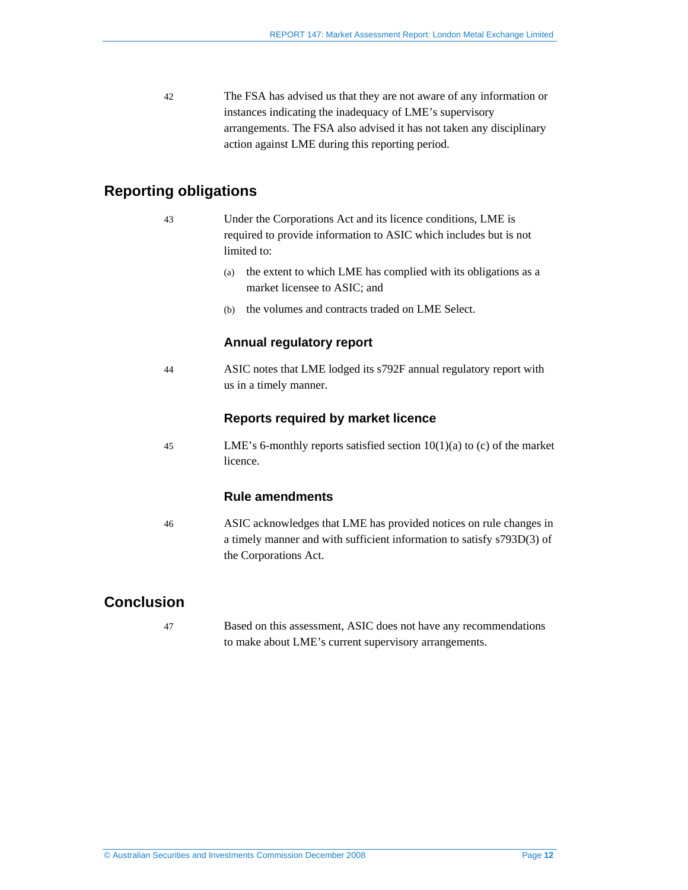42 The FSA has advised us that they are not aware of any information or instances indicating the inadequacy of LME's supervisory arrangements. The FSA also advised it has not taken any disciplinary action against LME during this reporting period.

## **Reporting obligations**

- 43 Under the Corporations Act and its licence conditions, LME is required to provide information to ASIC which includes but is not limited to:
	- (a) the extent to which LME has complied with its obligations as a market licensee to ASIC; and
	- (b) the volumes and contracts traded on LME Select.

#### **Annual regulatory report**

44 ASIC notes that LME lodged its s792F annual regulatory report with us in a timely manner.

#### **Reports required by market licence**

45 LME's 6-monthly reports satisfied section 10(1)(a) to (c) of the market licence.

#### **Rule amendments**

46 ASIC acknowledges that LME has provided notices on rule changes in a timely manner and with sufficient information to satisfy s793D(3) of the Corporations Act.

## **Conclusion**

47 Based on this assessment, ASIC does not have any recommendations to make about LME's current supervisory arrangements.